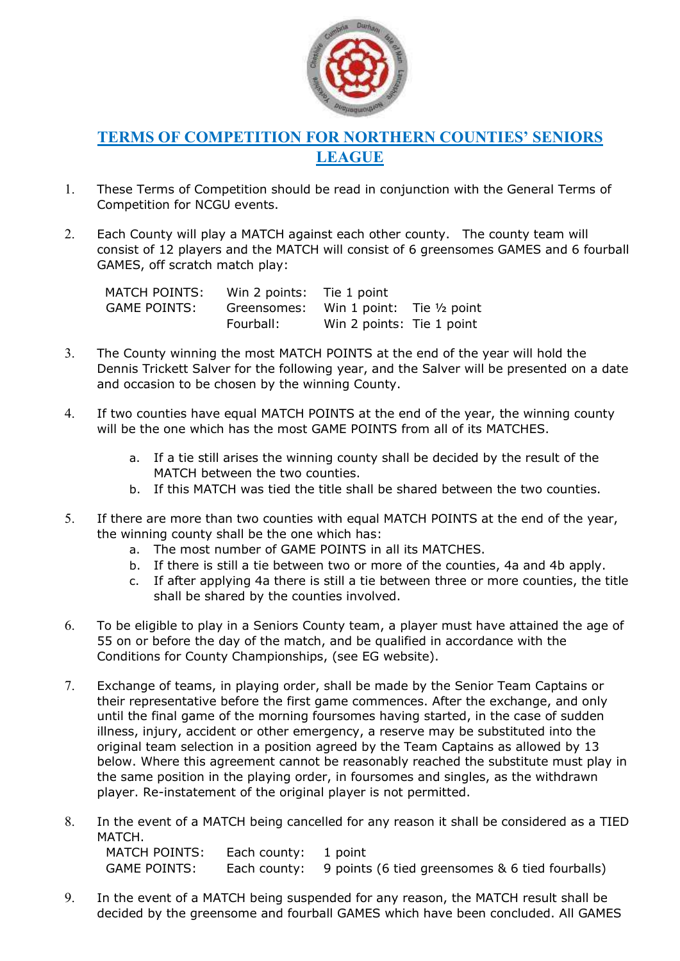

## TERMS OF COMPETITION FOR NORTHERN COUNTIES' SENIORS LEAGUE

- 1. These Terms of Competition should be read in conjunction with the General Terms of Competition for NCGU events.
- 2. Each County will play a MATCH against each other county. The county team will consist of 12 players and the MATCH will consist of 6 greensomes GAMES and 6 fourball GAMES, off scratch match play:

| <b>MATCH POINTS:</b> | Win 2 points: Tie 1 point |                                      |  |
|----------------------|---------------------------|--------------------------------------|--|
| <b>GAME POINTS:</b>  | Greensomes:               | Win 1 point: Tie $\frac{1}{2}$ point |  |
|                      | Fourball:                 | Win 2 points: Tie 1 point            |  |

- 3. The County winning the most MATCH POINTS at the end of the year will hold the Dennis Trickett Salver for the following year, and the Salver will be presented on a date and occasion to be chosen by the winning County.
- 4. If two counties have equal MATCH POINTS at the end of the year, the winning county will be the one which has the most GAME POINTS from all of its MATCHES.
	- a. If a tie still arises the winning county shall be decided by the result of the MATCH between the two counties.
	- b. If this MATCH was tied the title shall be shared between the two counties.
- 5. If there are more than two counties with equal MATCH POINTS at the end of the year, the winning county shall be the one which has:
	- a. The most number of GAME POINTS in all its MATCHES.
	- b. If there is still a tie between two or more of the counties, 4a and 4b apply.
	- c. If after applying 4a there is still a tie between three or more counties, the title shall be shared by the counties involved.
- 6. To be eligible to play in a Seniors County team, a player must have attained the age of 55 on or before the day of the match, and be qualified in accordance with the Conditions for County Championships, (see EG website).
- 7. Exchange of teams, in playing order, shall be made by the Senior Team Captains or their representative before the first game commences. After the exchange, and only until the final game of the morning foursomes having started, in the case of sudden illness, injury, accident or other emergency, a reserve may be substituted into the original team selection in a position agreed by the Team Captains as allowed by 13 below. Where this agreement cannot be reasonably reached the substitute must play in the same position in the playing order, in foursomes and singles, as the withdrawn player. Re-instatement of the original player is not permitted.
- 8. In the event of a MATCH being cancelled for any reason it shall be considered as a TIED MATCH. MATCH POINTS: Each county: 1 point

GAME POINTS: Each county: 9 points (6 tied greensomes & 6 tied fourballs)

9. In the event of a MATCH being suspended for any reason, the MATCH result shall be decided by the greensome and fourball GAMES which have been concluded. All GAMES